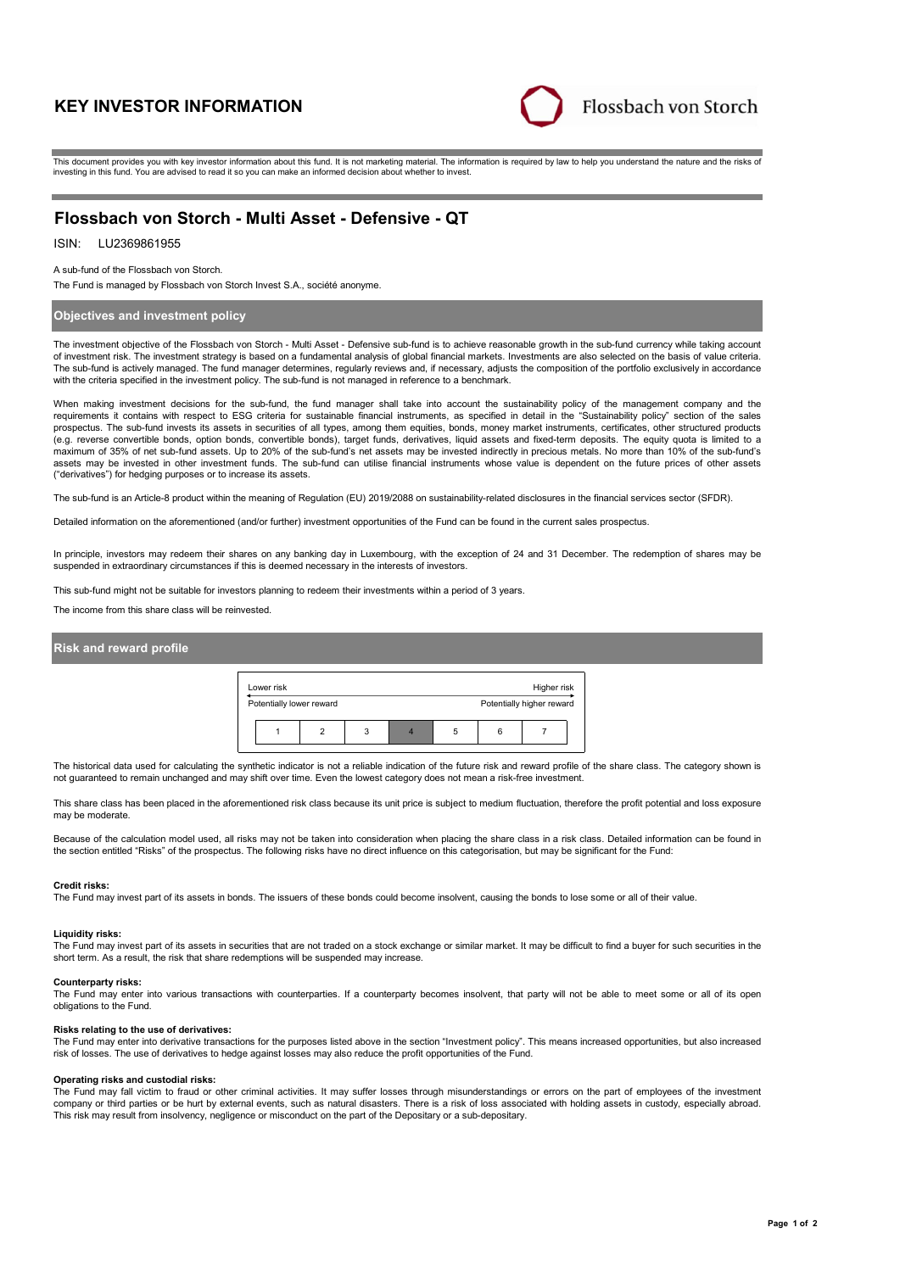# **KEY INVESTOR INFORMATION**



This document provides you with key investor information about this fund. It is not marketing material. The information is required by law to help you understand the nature and the risks of investing in this fund. You are advised to read it so you can make an informed decision about whether to invest.

# **Flossbach von Storch - Multi Asset - Defensive - QT**

#### LU2369861955 ISIN:

A sub-fund of the Flossbach von Storch.

The Fund is managed by Flossbach von Storch Invest S.A., société anonyme.

# **Objectives and investment policy**

The investment objective of the Flossbach von Storch - Multi Asset - Defensive sub-fund is to achieve reasonable growth in the sub-fund currency while taking account of investment risk. The investment strategy is based on a fundamental analysis of global financial markets. Investments are also selected on the basis of value criteria. The sub-fund is actively managed. The fund manager determines, regularly reviews and, if necessary, adjusts the composition of the portfolio exclusively in accordance with the criteria specified in the investment policy. The sub-fund is not managed in reference to a benchmark.

When making investment decisions for the sub-fund, the fund manager shall take into account the sustainability policy of the management company and the requirements it contains with respect to ESG criteria for sustainable financial instruments, as specified in detail in the "Sustainability policy" section of the sales prospectus. The sub-fund invests its assets in securities of all types, among them equities, bonds, money market instruments, certificates, other structured products (e.g. reverse convertible bonds, option bonds, convertible bonds), target funds, derivatives, liquid assets and fixed-term deposits. The equity quota is limited to a maximum of 35% of net sub-fund assets. Up to 20% of the sub-fund's net assets may be invested indirectly in precious metals. No more than 10% of the sub-fund's assets may be invested in other investment funds. The sub-fund can utilise financial instruments whose value is dependent on the future prices of other assets ("derivatives") for hedging purposes or to increase its assets.

The sub-fund is an Article-8 product within the meaning of Regulation (EU) 2019/2088 on sustainability-related disclosures in the financial services sector (SFDR).

Detailed information on the aforementioned (and/or further) investment opportunities of the Fund can be found in the current sales prospectus.

In principle, investors may redeem their shares on any banking day in Luxembourg, with the exception of 24 and 31 December. The redemption of shares may be suspended in extraordinary circumstances if this is deemed necessary in the interests of investors.

This sub-fund might not be suitable for investors planning to redeem their investments within a period of 3 years.

The income from this share class will be reinvested.

# **Risk and reward profile**



The historical data used for calculating the synthetic indicator is not a reliable indication of the future risk and reward profile of the share class. The category shown is not guaranteed to remain unchanged and may shift over time. Even the lowest category does not mean a risk-free investment.

This share class has been placed in the aforementioned risk class because its unit price is subject to medium fluctuation, therefore the profit potential and loss exposure may be moderate.

Because of the calculation model used, all risks may not be taken into consideration when placing the share class in a risk class. Detailed information can be found in the section entitled "Risks" of the prospectus. The following risks have no direct influence on this categorisation, but may be significant for the Fund:

#### **Credit risks:**

The Fund may invest part of its assets in bonds. The issuers of these bonds could become insolvent, causing the bonds to lose some or all of their value.

#### **Liquidity risks:**

The Fund may invest part of its assets in securities that are not traded on a stock exchange or similar market. It may be difficult to find a buyer for such securities in the short term. As a result, the risk that share redemptions will be suspended may increase.

### **Counterparty risks:**

The Fund may enter into various transactions with counterparties. If a counterparty becomes insolvent, that party will not be able to meet some or all of its open obligations to the Fund.

#### **Risks relating to the use of derivatives:**

The Fund may enter into derivative transactions for the purposes listed above in the section "Investment policy". This means increased opportunities, but also increased risk of losses. The use of derivatives to hedge against losses may also reduce the profit opportunities of the Fund.

#### **Operating risks and custodial risks:**

The Fund may fall victim to fraud or other criminal activities. It may suffer losses through misunderstandings or errors on the part of employees of the investment company or third parties or be hurt by external events, such as natural disasters. There is a risk of loss associated with holding assets in custody, especially abroad. This risk may result from insolvency, negligence or misconduct on the part of the Depositary or a sub-depositary.